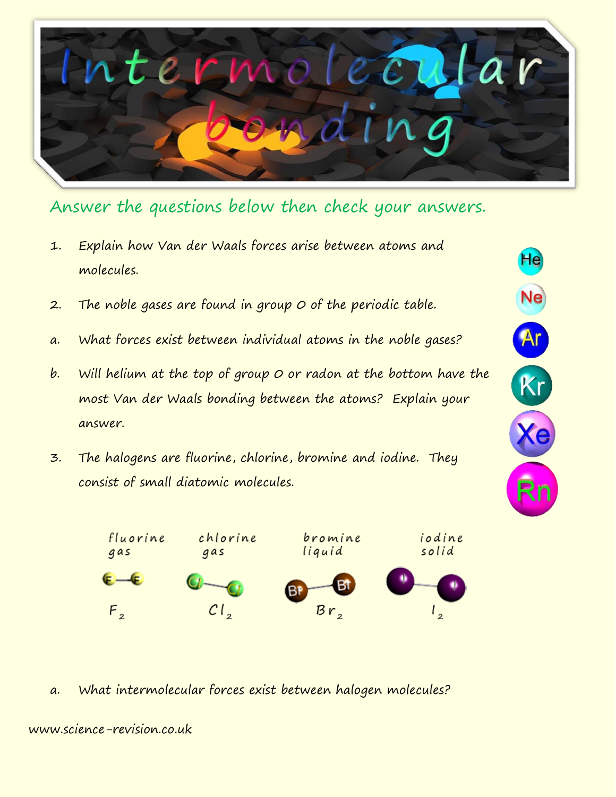

He

Ne

Ar

 $Kr$ 

Answer the questions below then check your answers.

- 1. Explain how Van der Waals forces arise between atoms and molecules.
- 2. The noble gases are found in group 0 of the periodic table.
- a. What forces exist between individual atoms in the noble gases?
- b. Will helium at the top of group  $O$  or radon at the bottom have the most Van der Waals bonding between the atoms? Explain your answer.
- 3. The halogens are fluorine, chlorine, bromine and iodine. They consist of small diatomic molecules.



a. What intermolecular forces exist between halogen molecules?

www.science-revision.co.uk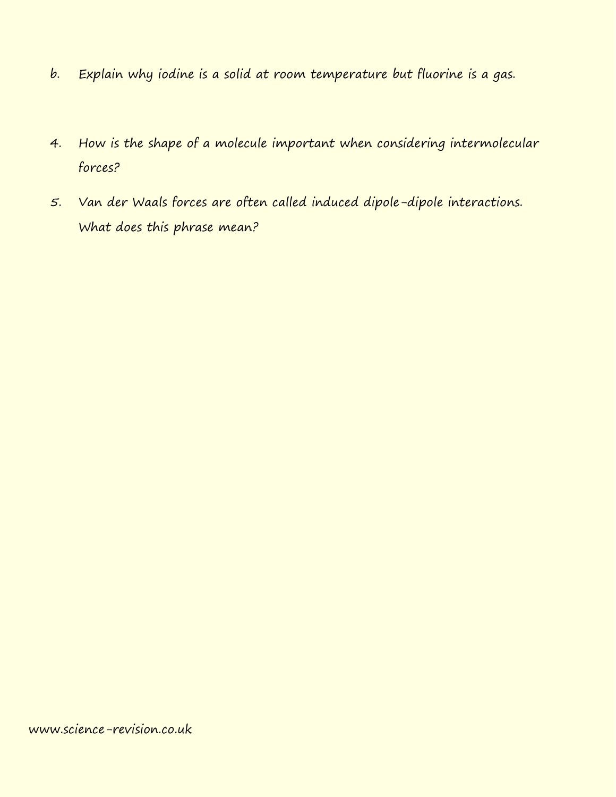- b. Explain why iodine is a solid at room temperature but fluorine is a gas.
- 4. How is the shape of a molecule important when considering intermolecular forces?
- 5. Van der Waals forces are often called induced dipole-dipole interactions. What does this phrase mean?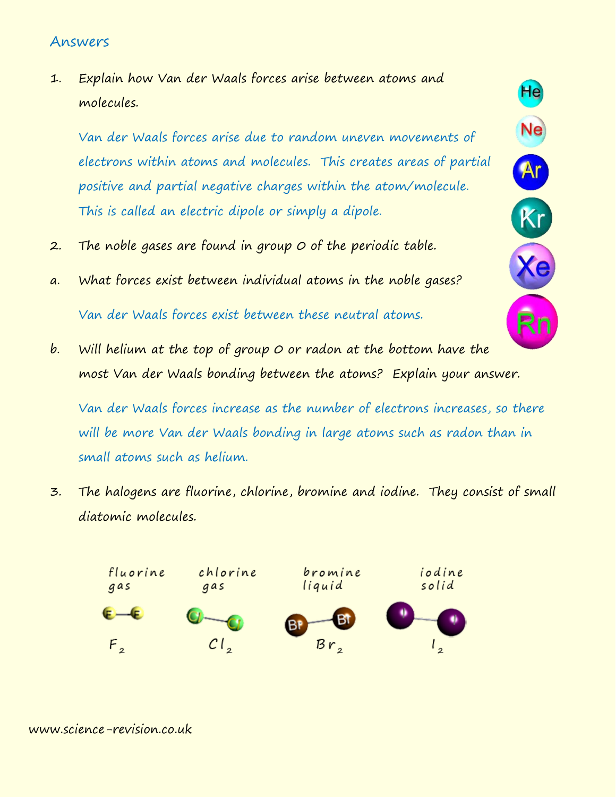## Answers

1. Explain how Van der Waals forces arise between atoms and molecules.

Van der Waals forces arise due to random uneven movements of electrons within atoms and molecules. This creates areas of partial positive and partial negative charges within the atom/molecule. This is called an electric dipole or simply a dipole.

He

Ne

Ar

Kr

- 2. The noble gases are found in group 0 of the periodic table.
- a. What forces exist between individual atoms in the noble gases? Van der Waals forces exist between these neutral atoms.
- b. Will helium at the top of group  $O$  or radon at the bottom have the most Van der Waals bonding between the atoms? Explain your answer.

Van der Waals forces increase as the number of electrons increases, so there will be more Van der Waals bonding in large atoms such as radon than in small atoms such as helium.

3. The halogens are fluorine, chlorine, bromine and iodine. They consist of small diatomic molecules.



## www.science-revision.co.uk